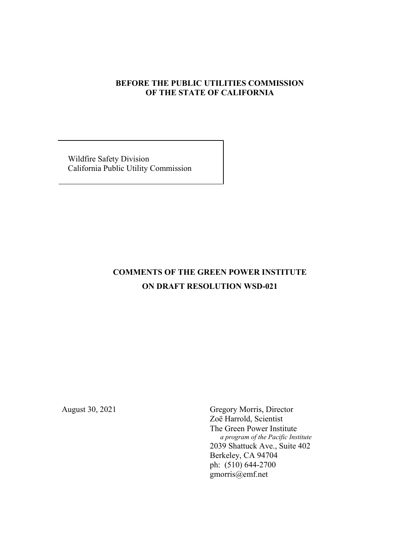# **BEFORE THE PUBLIC UTILITIES COMMISSION OF THE STATE OF CALIFORNIA**

 Wildfire Safety Division California Public Utility Commission

# **COMMENTS OF THE GREEN POWER INSTITUTE ON DRAFT RESOLUTION WSD-021**

August 30, 2021 Gregory Morris, Director Zoë Harrold, Scientist The Green Power Institute  *a program of the Pacific Institute* 2039 Shattuck Ave., Suite 402 Berkeley, CA 94704 ph: (510) 644-2700 gmorris@emf.net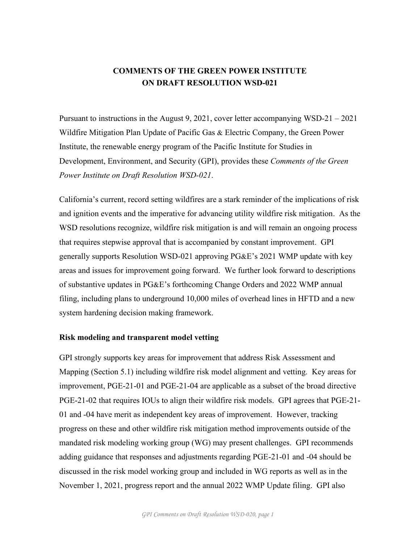# **COMMENTS OF THE GREEN POWER INSTITUTE ON DRAFT RESOLUTION WSD-021**

Pursuant to instructions in the August 9, 2021, cover letter accompanying WSD-21 – 2021 Wildfire Mitigation Plan Update of Pacific Gas & Electric Company, the Green Power Institute, the renewable energy program of the Pacific Institute for Studies in Development, Environment, and Security (GPI), provides these *Comments of the Green Power Institute on Draft Resolution WSD-021*.

California's current, record setting wildfires are a stark reminder of the implications of risk and ignition events and the imperative for advancing utility wildfire risk mitigation. As the WSD resolutions recognize, wildfire risk mitigation is and will remain an ongoing process that requires stepwise approval that is accompanied by constant improvement. GPI generally supports Resolution WSD-021 approving PG&E's 2021 WMP update with key areas and issues for improvement going forward. We further look forward to descriptions of substantive updates in PG&E's forthcoming Change Orders and 2022 WMP annual filing, including plans to underground 10,000 miles of overhead lines in HFTD and a new system hardening decision making framework.

# **Risk modeling and transparent model vetting**

GPI strongly supports key areas for improvement that address Risk Assessment and Mapping (Section 5.1) including wildfire risk model alignment and vetting. Key areas for improvement, PGE-21-01 and PGE-21-04 are applicable as a subset of the broad directive PGE-21-02 that requires IOUs to align their wildfire risk models. GPI agrees that PGE-21- 01 and -04 have merit as independent key areas of improvement. However, tracking progress on these and other wildfire risk mitigation method improvements outside of the mandated risk modeling working group (WG) may present challenges. GPI recommends adding guidance that responses and adjustments regarding PGE-21-01 and -04 should be discussed in the risk model working group and included in WG reports as well as in the November 1, 2021, progress report and the annual 2022 WMP Update filing. GPI also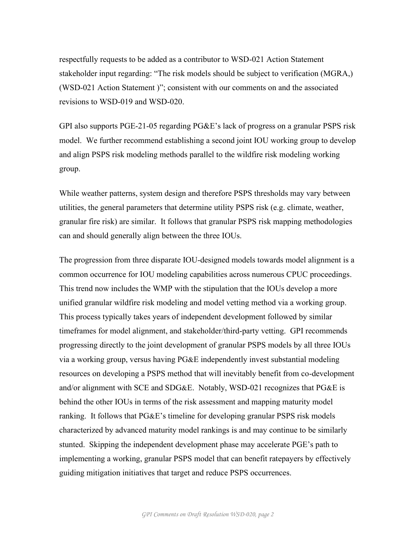respectfully requests to be added as a contributor to WSD-021 Action Statement stakeholder input regarding: "The risk models should be subject to verification (MGRA,) (WSD-021 Action Statement )"; consistent with our comments on and the associated revisions to WSD-019 and WSD-020.

GPI also supports PGE-21-05 regarding PG&E's lack of progress on a granular PSPS risk model. We further recommend establishing a second joint IOU working group to develop and align PSPS risk modeling methods parallel to the wildfire risk modeling working group.

While weather patterns, system design and therefore PSPS thresholds may vary between utilities, the general parameters that determine utility PSPS risk (e.g. climate, weather, granular fire risk) are similar. It follows that granular PSPS risk mapping methodologies can and should generally align between the three IOUs.

The progression from three disparate IOU-designed models towards model alignment is a common occurrence for IOU modeling capabilities across numerous CPUC proceedings. This trend now includes the WMP with the stipulation that the IOUs develop a more unified granular wildfire risk modeling and model vetting method via a working group. This process typically takes years of independent development followed by similar timeframes for model alignment, and stakeholder/third-party vetting. GPI recommends progressing directly to the joint development of granular PSPS models by all three IOUs via a working group, versus having PG&E independently invest substantial modeling resources on developing a PSPS method that will inevitably benefit from co-development and/or alignment with SCE and SDG&E. Notably, WSD-021 recognizes that PG&E is behind the other IOUs in terms of the risk assessment and mapping maturity model ranking. It follows that PG&E's timeline for developing granular PSPS risk models characterized by advanced maturity model rankings is and may continue to be similarly stunted. Skipping the independent development phase may accelerate PGE's path to implementing a working, granular PSPS model that can benefit ratepayers by effectively guiding mitigation initiatives that target and reduce PSPS occurrences.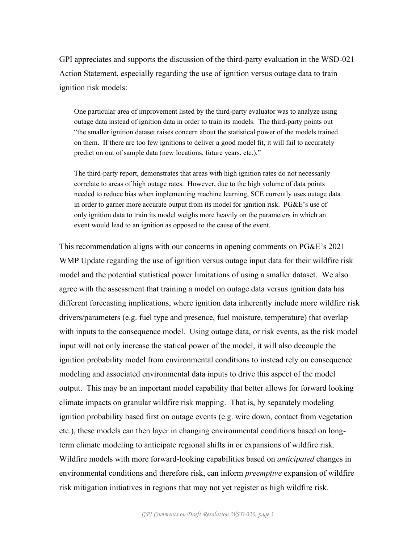GPI appreciates and supports the discussion of the third-party evaluation in the WSD-021 Action Statement, especially regarding the use of ignition versus outage data to train ignition risk models:

One particular area of improvement listed by the third-party evaluator was to analyze using outage data instead of ignition data in order to train its models. The third-party points out "the smaller ignition dataset raises concern about the statistical power of the models trained on them. If there are too few ignitions to deliver a good model fit, it will fail to accurately predict on out of sample data (new locations, future years, etc.)."

The third-party report, demonstrates that areas with high ignition rates do not necessarily correlate to areas of high outage rates. However, due to the high volume of data points needed to reduce bias when implementing machine learning, SCE currently uses outage data in order to garner more accurate output from its model for ignition risk. PG&E's use of only ignition data to train its model weighs more heavily on the parameters in which an event would lead to an ignition as opposed to the cause of the event.

This recommendation aligns with our concerns in opening comments on PG&E's 2021 WMP Update regarding the use of ignition versus outage input data for their wildfire risk model and the potential statistical power limitations of using a smaller dataset. We also agree with the assessment that training a model on outage data versus ignition data has different forecasting implications, where ignition data inherently include more wildfire risk drivers/parameters (e.g. fuel type and presence, fuel moisture, temperature) that overlap with inputs to the consequence model. Using outage data, or risk events, as the risk model input will not only increase the statical power of the model, it will also decouple the ignition probability model from environmental conditions to instead rely on consequence modeling and associated environmental data inputs to drive this aspect of the model output. This may be an important model capability that better allows for forward looking climate impacts on granular wildfire risk mapping. That is, by separately modeling ignition probability based first on outage events (e.g. wire down, contact from vegetation etc.), these models can then layer in changing environmental conditions based on longterm climate modeling to anticipate regional shifts in or expansions of wildfire risk. Wildfire models with more forward-looking capabilities based on *anticipated* changes in environmental conditions and therefore risk, can inform *preemptive* expansion of wildfire risk mitigation initiatives in regions that may not yet register as high wildfire risk.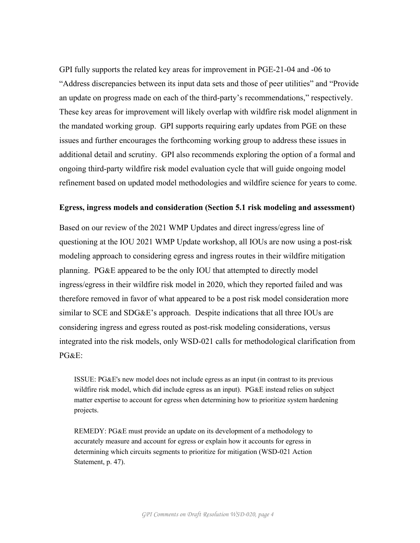GPI fully supports the related key areas for improvement in PGE-21-04 and -06 to "Address discrepancies between its input data sets and those of peer utilities" and "Provide an update on progress made on each of the third-party's recommendations," respectively. These key areas for improvement will likely overlap with wildfire risk model alignment in the mandated working group. GPI supports requiring early updates from PGE on these issues and further encourages the forthcoming working group to address these issues in additional detail and scrutiny. GPI also recommends exploring the option of a formal and ongoing third-party wildfire risk model evaluation cycle that will guide ongoing model refinement based on updated model methodologies and wildfire science for years to come.

## **Egress, ingress models and consideration (Section 5.1 risk modeling and assessment)**

Based on our review of the 2021 WMP Updates and direct ingress/egress line of questioning at the IOU 2021 WMP Update workshop, all IOUs are now using a post-risk modeling approach to considering egress and ingress routes in their wildfire mitigation planning. PG&E appeared to be the only IOU that attempted to directly model ingress/egress in their wildfire risk model in 2020, which they reported failed and was therefore removed in favor of what appeared to be a post risk model consideration more similar to SCE and SDG&E's approach. Despite indications that all three IOUs are considering ingress and egress routed as post-risk modeling considerations, versus integrated into the risk models, only WSD-021 calls for methodological clarification from PG&E:

ISSUE: PG&E's new model does not include egress as an input (in contrast to its previous wildfire risk model, which did include egress as an input). PG&E instead relies on subject matter expertise to account for egress when determining how to prioritize system hardening projects.

REMEDY: PG&E must provide an update on its development of a methodology to accurately measure and account for egress or explain how it accounts for egress in determining which circuits segments to prioritize for mitigation (WSD-021 Action Statement, p. 47).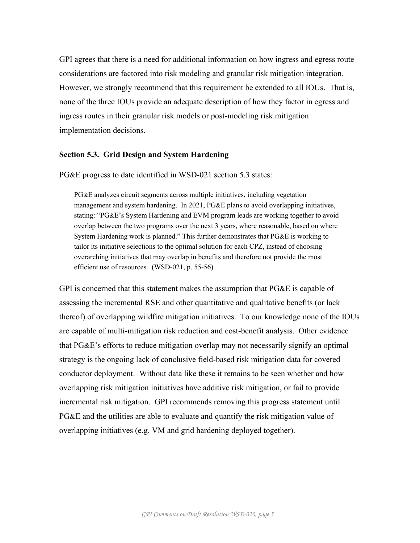GPI agrees that there is a need for additional information on how ingress and egress route considerations are factored into risk modeling and granular risk mitigation integration. However, we strongly recommend that this requirement be extended to all IOUs. That is, none of the three IOUs provide an adequate description of how they factor in egress and ingress routes in their granular risk models or post-modeling risk mitigation implementation decisions.

## **Section 5.3. Grid Design and System Hardening**

PG&E progress to date identified in WSD-021 section 5.3 states:

PG&E analyzes circuit segments across multiple initiatives, including vegetation management and system hardening. In 2021, PG&E plans to avoid overlapping initiatives, stating: "PG&E's System Hardening and EVM program leads are working together to avoid overlap between the two programs over the next 3 years, where reasonable, based on where System Hardening work is planned." This further demonstrates that PG&E is working to tailor its initiative selections to the optimal solution for each CPZ, instead of choosing overarching initiatives that may overlap in benefits and therefore not provide the most efficient use of resources. (WSD-021, p. 55-56)

GPI is concerned that this statement makes the assumption that PG&E is capable of assessing the incremental RSE and other quantitative and qualitative benefits (or lack thereof) of overlapping wildfire mitigation initiatives. To our knowledge none of the IOUs are capable of multi-mitigation risk reduction and cost-benefit analysis. Other evidence that PG&E's efforts to reduce mitigation overlap may not necessarily signify an optimal strategy is the ongoing lack of conclusive field-based risk mitigation data for covered conductor deployment. Without data like these it remains to be seen whether and how overlapping risk mitigation initiatives have additive risk mitigation, or fail to provide incremental risk mitigation. GPI recommends removing this progress statement until PG&E and the utilities are able to evaluate and quantify the risk mitigation value of overlapping initiatives (e.g. VM and grid hardening deployed together).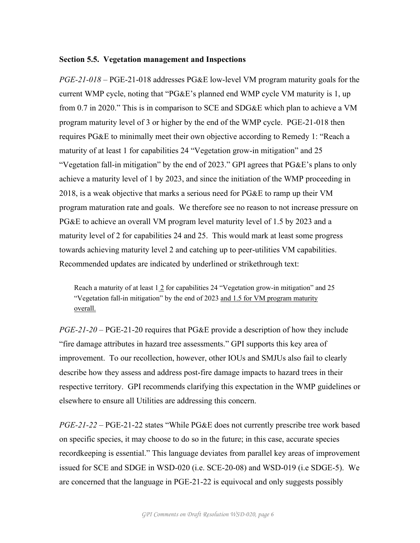#### **Section 5.5. Vegetation management and Inspections**

*PGE-21-018* – PGE-21-018 addresses PG&E low-level VM program maturity goals for the current WMP cycle, noting that "PG&E's planned end WMP cycle VM maturity is 1, up from 0.7 in 2020." This is in comparison to SCE and SDG&E which plan to achieve a VM program maturity level of 3 or higher by the end of the WMP cycle. PGE-21-018 then requires PG&E to minimally meet their own objective according to Remedy 1: "Reach a maturity of at least 1 for capabilities 24 "Vegetation grow-in mitigation" and 25 "Vegetation fall-in mitigation" by the end of 2023." GPI agrees that PG&E's plans to only achieve a maturity level of 1 by 2023, and since the initiation of the WMP proceeding in 2018, is a weak objective that marks a serious need for PG&E to ramp up their VM program maturation rate and goals. We therefore see no reason to not increase pressure on PG&E to achieve an overall VM program level maturity level of 1.5 by 2023 and a maturity level of 2 for capabilities 24 and 25. This would mark at least some progress towards achieving maturity level 2 and catching up to peer-utilities VM capabilities. Recommended updates are indicated by underlined or strikethrough text:

Reach a maturity of at least 1 2 for capabilities 24 "Vegetation grow-in mitigation" and 25 "Vegetation fall-in mitigation" by the end of 2023 and 1.5 for VM program maturity overall.

*PGE-21-20* – PGE-21-20 requires that PG&E provide a description of how they include "fire damage attributes in hazard tree assessments." GPI supports this key area of improvement. To our recollection, however, other IOUs and SMJUs also fail to clearly describe how they assess and address post-fire damage impacts to hazard trees in their respective territory. GPI recommends clarifying this expectation in the WMP guidelines or elsewhere to ensure all Utilities are addressing this concern.

*PGE-21-22* – PGE-21-22 states "While PG&E does not currently prescribe tree work based on specific species, it may choose to do so in the future; in this case, accurate species recordkeeping is essential." This language deviates from parallel key areas of improvement issued for SCE and SDGE in WSD-020 (i.e. SCE-20-08) and WSD-019 (i.e SDGE-5). We are concerned that the language in PGE-21-22 is equivocal and only suggests possibly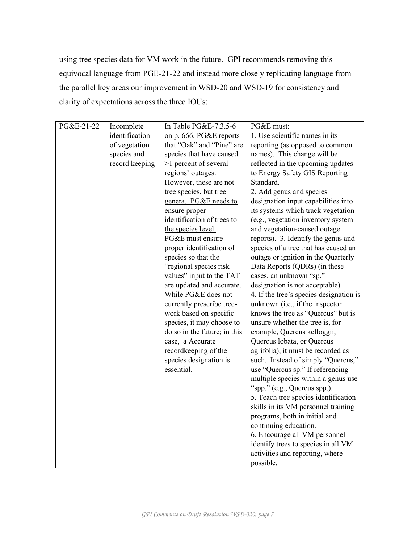using tree species data for VM work in the future. GPI recommends removing this equivocal language from PGE-21-22 and instead more closely replicating language from the parallel key areas our improvement in WSD-20 and WSD-19 for consistency and clarity of expectations across the three IOUs:

| PG&E-21-22 | Incomplete     | In Table PG&E-7.3.5-6        | PG&E must:                              |
|------------|----------------|------------------------------|-----------------------------------------|
|            | identification | on p. 666, PG&E reports      | 1. Use scientific names in its          |
|            | of vegetation  | that "Oak" and "Pine" are    | reporting (as opposed to common         |
|            | species and    | species that have caused     | names). This change will be             |
|            | record keeping | >1 percent of several        | reflected in the upcoming updates       |
|            |                | regions' outages.            | to Energy Safety GIS Reporting          |
|            |                | However, these are not       | Standard.                               |
|            |                | tree species, but tree       | 2. Add genus and species                |
|            |                | genera. PG&E needs to        | designation input capabilities into     |
|            |                | ensure proper                | its systems which track vegetation      |
|            |                | identification of trees to   | (e.g., vegetation inventory system      |
|            |                | the species level.           | and vegetation-caused outage            |
|            |                | PG&E must ensure             | reports). 3. Identify the genus and     |
|            |                | proper identification of     | species of a tree that has caused an    |
|            |                | species so that the          | outage or ignition in the Quarterly     |
|            |                | "regional species risk       | Data Reports (QDRs) (in these           |
|            |                | values" input to the TAT     | cases, an unknown "sp."                 |
|            |                | are updated and accurate.    | designation is not acceptable).         |
|            |                | While PG&E does not          | 4. If the tree's species designation is |
|            |                | currently prescribe tree-    | unknown (i.e., if the inspector         |
|            |                | work based on specific       | knows the tree as "Quercus" but is      |
|            |                | species, it may choose to    | unsure whether the tree is, for         |
|            |                | do so in the future; in this | example, Quercus kelloggii,             |
|            |                | case, a Accurate             | Quercus lobata, or Quercus              |
|            |                | recordkeeping of the         | agrifolia), it must be recorded as      |
|            |                | species designation is       | such. Instead of simply "Quercus,"      |
|            |                | essential.                   | use "Quercus sp." If referencing        |
|            |                |                              | multiple species within a genus use     |
|            |                |                              | "spp." (e.g., Quercus spp.).            |
|            |                |                              | 5. Teach tree species identification    |
|            |                |                              | skills in its VM personnel training     |
|            |                |                              | programs, both in initial and           |
|            |                |                              | continuing education.                   |
|            |                |                              | 6. Encourage all VM personnel           |
|            |                |                              | identify trees to species in all VM     |
|            |                |                              | activities and reporting, where         |
|            |                |                              | possible.                               |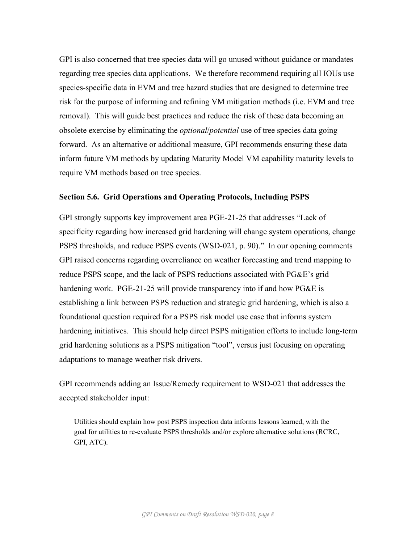GPI is also concerned that tree species data will go unused without guidance or mandates regarding tree species data applications. We therefore recommend requiring all IOUs use species-specific data in EVM and tree hazard studies that are designed to determine tree risk for the purpose of informing and refining VM mitigation methods (i.e. EVM and tree removal). This will guide best practices and reduce the risk of these data becoming an obsolete exercise by eliminating the *optional*/*potential* use of tree species data going forward. As an alternative or additional measure, GPI recommends ensuring these data inform future VM methods by updating Maturity Model VM capability maturity levels to require VM methods based on tree species.

### **Section 5.6. Grid Operations and Operating Protocols, Including PSPS**

GPI strongly supports key improvement area PGE-21-25 that addresses "Lack of specificity regarding how increased grid hardening will change system operations, change PSPS thresholds, and reduce PSPS events (WSD-021, p. 90)." In our opening comments GPI raised concerns regarding overreliance on weather forecasting and trend mapping to reduce PSPS scope, and the lack of PSPS reductions associated with PG&E's grid hardening work. PGE-21-25 will provide transparency into if and how PG&E is establishing a link between PSPS reduction and strategic grid hardening, which is also a foundational question required for a PSPS risk model use case that informs system hardening initiatives. This should help direct PSPS mitigation efforts to include long-term grid hardening solutions as a PSPS mitigation "tool", versus just focusing on operating adaptations to manage weather risk drivers.

GPI recommends adding an Issue/Remedy requirement to WSD-021 that addresses the accepted stakeholder input:

Utilities should explain how post PSPS inspection data informs lessons learned, with the goal for utilities to re-evaluate PSPS thresholds and/or explore alternative solutions (RCRC, GPI, ATC).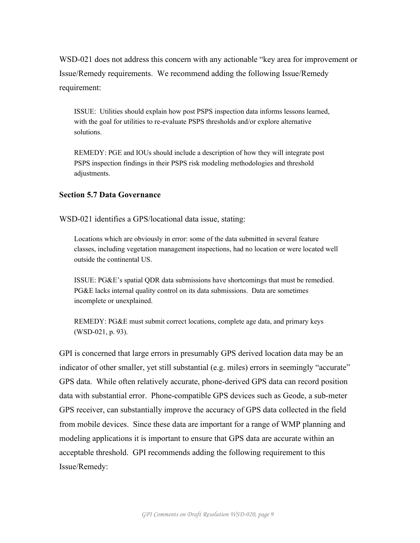WSD-021 does not address this concern with any actionable "key area for improvement or Issue/Remedy requirements. We recommend adding the following Issue/Remedy requirement:

ISSUE: Utilities should explain how post PSPS inspection data informs lessons learned, with the goal for utilities to re-evaluate PSPS thresholds and/or explore alternative solutions.

REMEDY: PGE and IOUs should include a description of how they will integrate post PSPS inspection findings in their PSPS risk modeling methodologies and threshold adjustments.

# **Section 5.7 Data Governance**

WSD-021 identifies a GPS/locational data issue, stating:

Locations which are obviously in error: some of the data submitted in several feature classes, including vegetation management inspections, had no location or were located well outside the continental US.

ISSUE: PG&E's spatial QDR data submissions have shortcomings that must be remedied. PG&E lacks internal quality control on its data submissions. Data are sometimes incomplete or unexplained.

REMEDY: PG&E must submit correct locations, complete age data, and primary keys (WSD-021, p. 93).

GPI is concerned that large errors in presumably GPS derived location data may be an indicator of other smaller, yet still substantial (e.g. miles) errors in seemingly "accurate" GPS data. While often relatively accurate, phone-derived GPS data can record position data with substantial error. Phone-compatible GPS devices such as Geode, a sub-meter GPS receiver, can substantially improve the accuracy of GPS data collected in the field from mobile devices. Since these data are important for a range of WMP planning and modeling applications it is important to ensure that GPS data are accurate within an acceptable threshold. GPI recommends adding the following requirement to this Issue/Remedy: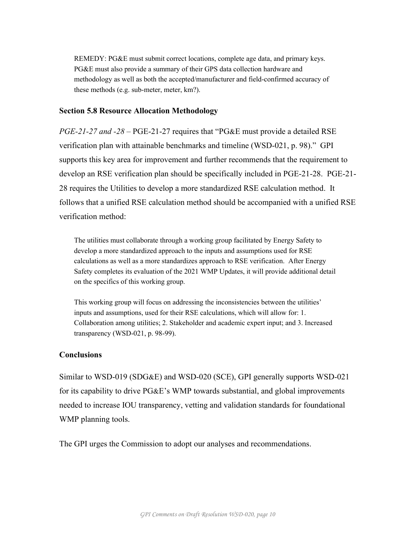REMEDY: PG&E must submit correct locations, complete age data, and primary keys. PG&E must also provide a summary of their GPS data collection hardware and methodology as well as both the accepted/manufacturer and field-confirmed accuracy of these methods (e.g. sub-meter, meter, km?).

#### **Section 5.8 Resource Allocation Methodology**

*PGE-21-27 and -28* – PGE-21-27 requires that "PG&E must provide a detailed RSE verification plan with attainable benchmarks and timeline (WSD-021, p. 98)." GPI supports this key area for improvement and further recommends that the requirement to develop an RSE verification plan should be specifically included in PGE-21-28. PGE-21- 28 requires the Utilities to develop a more standardized RSE calculation method. It follows that a unified RSE calculation method should be accompanied with a unified RSE verification method:

The utilities must collaborate through a working group facilitated by Energy Safety to develop a more standardized approach to the inputs and assumptions used for RSE calculations as well as a more standardizes approach to RSE verification. After Energy Safety completes its evaluation of the 2021 WMP Updates, it will provide additional detail on the specifics of this working group.

This working group will focus on addressing the inconsistencies between the utilities' inputs and assumptions, used for their RSE calculations, which will allow for: 1. Collaboration among utilities; 2. Stakeholder and academic expert input; and 3. Increased transparency (WSD-021, p. 98-99).

#### **Conclusions**

Similar to WSD-019 (SDG&E) and WSD-020 (SCE), GPI generally supports WSD-021 for its capability to drive PG&E's WMP towards substantial, and global improvements needed to increase IOU transparency, vetting and validation standards for foundational WMP planning tools.

The GPI urges the Commission to adopt our analyses and recommendations.